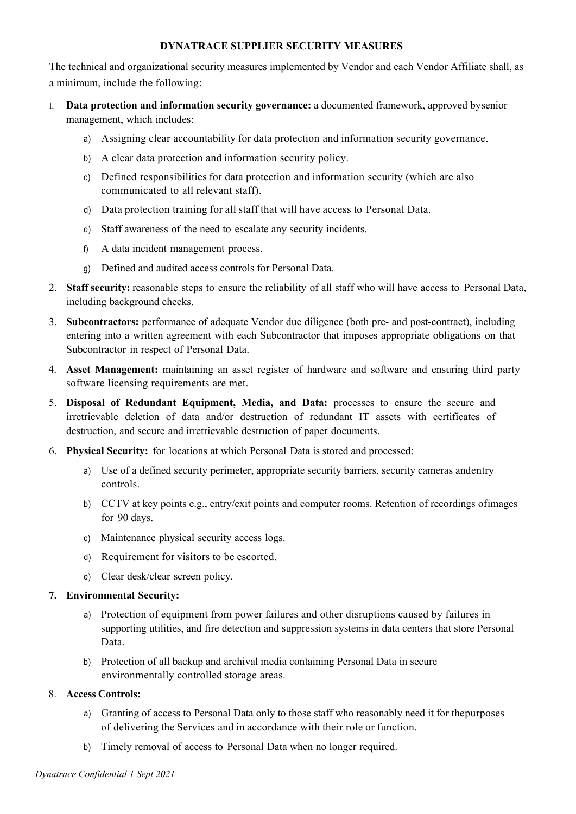# **DYNATRACE SUPPLIER SECURITY MEASURES**

The technical and organizational security measures implemented by Vendor and each Vendor Affiliate shall, as a minimum, include the following:

- l. **Data protection and information security governance:** a documented framework, approved bysenior management, which includes:
	- a) Assigning clear accountability for data protection and information security governance.
	- b) A clear data protection and information security policy.
	- c) Defined responsibilities for data protection and information security (which are also communicated to all relevant staff).
	- d) Data protection training for all staff that will have access to Personal Data.
	- e) Staff awareness of the need to escalate any security incidents.
	- f) A data incident management process.
	- g) Defined and audited access controls for Personal Data.
- 2. **Staff security:** reasonable steps to ensure the reliability of all staff who will have access to Personal Data, including background checks.
- 3. **Subcontractors:** performance of adequate Vendor due diligence (both pre- and post-contract), including entering into a written agreement with each Subcontractor that imposes appropriate obligations on that Subcontractor in respect of Personal Data.
- 4. **Asset Management:** maintaining an asset register of hardware and software and ensuring third party software licensing requirements are met.
- 5. **Disposal of Redundant Equipment, Media, and Data:** processes to ensure the secure and irretrievable deletion of data and/or destruction of redundant IT assets with certificates of destruction, and secure and irretrievable destruction of paper documents.
- 6. **Physical Security:** for locations at which Personal Data is stored and processed:
	- a) Use of a defined security perimeter, appropriate security barriers, security cameras andentry controls.
	- b) CCTV at key points e.g., entry/exit points and computer rooms. Retention of recordings ofimages for 90 days.
	- c) Maintenance physical security access logs.
	- d) Requirement for visitors to be escorted.
	- e) Clear desk/clear screen policy.

### **7. Environmental Security:**

- a) Protection of equipment from power failures and other disruptions caused by failures in supporting utilities, and fire detection and suppression systems in data centers that store Personal Data.
- b) Protection of all backup and archival media containing Personal Data in secure environmentally controlled storage areas.

# 8. **Access Controls:**

- a) Granting of access to Personal Data only to those staff who reasonably need it for thepurposes of delivering the Services and in accordance with their role or function.
- b) Timely removal of access to Personal Data when no longer required.